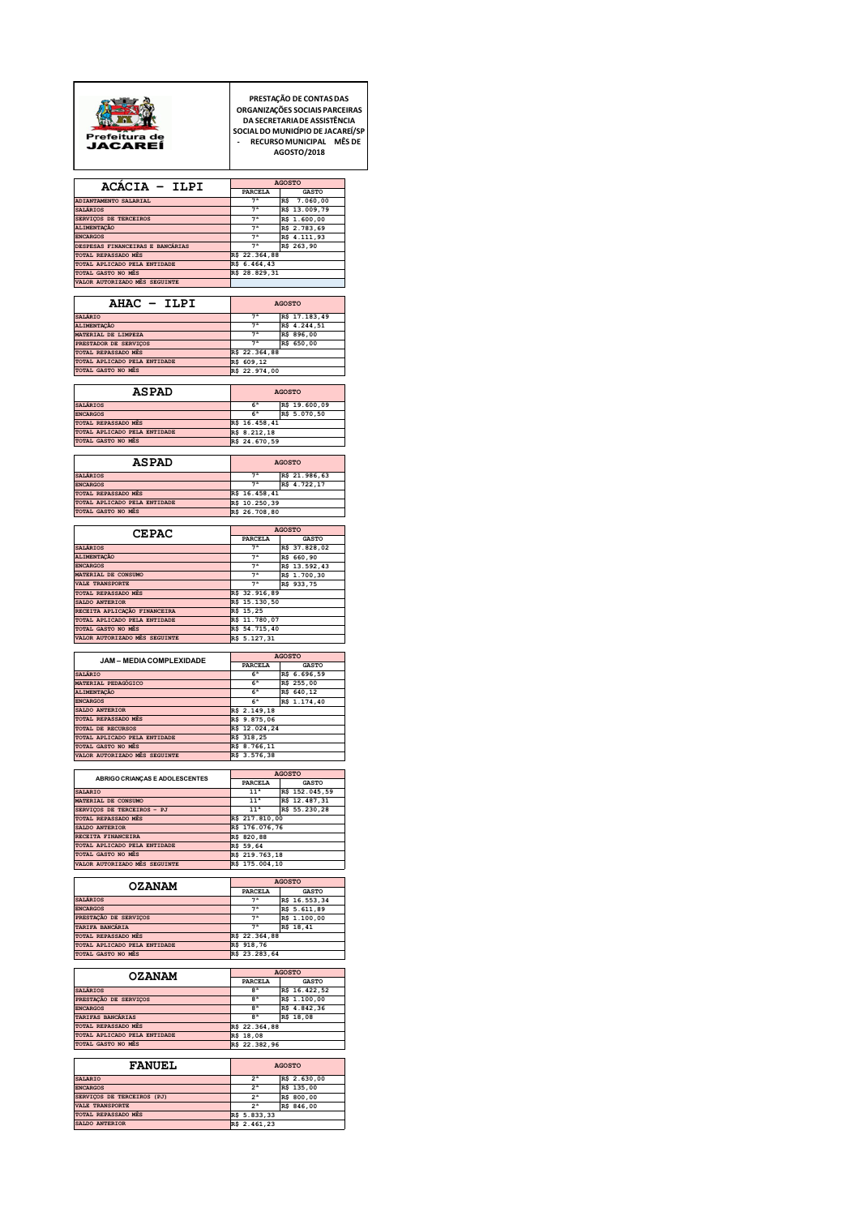

PRESTAÇÃO DE CONTAS DAS<br>DAGANIZAÇÕES SOCIAIS PARCEIRAS<br>DA SECRETARIADE ASSISTÊNCIA<br>SOCIAL DO MUNICÍPIO DE JACAREÍ/SP<br>- RECURSO MUNICIPAL MÊS DE<br>AGOSTO/2018

|                                                     |                                    | <b>AGOSTO</b>                   |
|-----------------------------------------------------|------------------------------------|---------------------------------|
| ACACIA - ILPI                                       | PARCELA                            | <b>GASTO</b>                    |
| ADIANTAMENTO SALARIAL<br><b>SALÁRIOS</b>            | 7 <sup>a</sup><br>7 <sup>a</sup>   | R\$ 7.060,00<br>R\$ 13.009,79   |
| SERVIÇOS DE TERCEIROS                               | 7 <sup>a</sup>                     | R\$ 1.600,00                    |
| ALIMENTAÇÃO<br><b>ENCARGOS</b>                      | 7 <sup>a</sup><br>7 <sup>a</sup>   | R\$ 2.783,69<br>R\$ 4.111,93    |
| DESPESAS FINANCEIRAS E BANCÁRIAS                    | 7 <sup>a</sup>                     | R\$ 263,90                      |
| TOTAL REPASSADO MÊS<br>TOTAL APLICADO PELA ENTIDADE | R\$ 22.364,88<br>R\$ 6.464,43      |                                 |
| TOTAL GASTO NO MÊS                                  | R\$ 28.829,31                      |                                 |
| VALOR AUTORIZADO MÉS SEGUINTE                       |                                    |                                 |
| AHAC - ILPI                                         |                                    | <b>AGOSTO</b>                   |
| SALÁRIO                                             | 7 <sup>a</sup>                     | R\$ 17.183,49                   |
| ALIMENTAÇÃO<br>MATERIAL DE LIMPEZA                  | 7 <sup>a</sup>                     | R\$ 4.244,51<br>R\$ 896,00      |
| PRESTADOR DE SERVIÇOS                               | 7 <sup>a</sup><br>7 <sup>a</sup>   | R\$ 650,00                      |
| TOTAL REPASSADO MÊS<br>TOTAL APLICADO PELA ENTIDADE | R\$ 22.364,88                      |                                 |
| TOTAL GASTO NO MÊS                                  | R\$ 609,12<br>R\$ 22.974,00        |                                 |
|                                                     |                                    |                                 |
| <b>ASPAD</b>                                        |                                    | <b>AGOSTO</b>                   |
| SALÁRIOS<br><b>ENCARGOS</b>                         | 6 <sup>a</sup><br>6 <sup>a</sup>   | R\$ 19.600,09<br>R\$ 5.070,50   |
| TOTAL REPASSADO MÊS                                 | R\$ 16.458,41                      |                                 |
| TOTAL APLICADO PELA ENTIDADE                        | R\$ 8.212,18                       |                                 |
| TOTAL GASTO NO MÊS                                  | R\$ 24.670,59                      |                                 |
| <b>ASPAD</b>                                        |                                    | <b>AGOSTO</b>                   |
| <b>SALÁRIOS</b>                                     | 7 <sup>a</sup>                     | R\$ 21.986,63                   |
| <b>ENCARGOS</b><br>TOTAL REPASSADO MÊS              | 7 <sup>a</sup>                     | R\$ 4.722,17                    |
| TOTAL APLICADO PELA ENTIDADE                        | R\$ 16.458,41<br>R\$ 10.250,39     |                                 |
| TOTAL GASTO NO MÊS                                  | R\$ 26.708,80                      |                                 |
|                                                     |                                    | <b>AGOSTO</b>                   |
| <b>CEPAC</b>                                        | <b>PARCELA</b>                     | <b>GASTO</b>                    |
| <b>SALÁRIOS</b><br>ALIMENTAÇÃO                      | 7 <sup>a</sup><br>7 <sup>a</sup>   | R\$ 37.828,02<br>R\$ 660,90     |
| <b>ENCARGOS</b>                                     | 7 <sup>a</sup>                     | R\$ 13.592,43                   |
| MATERIAL DE CONSUMO<br><b>VALE TRANSPORTE</b>       | 7 <sup>a</sup><br>7 <sup>a</sup>   | R\$ 1.700,30<br>R\$ 933,75      |
| TOTAL REPASSADO MÊS                                 | R\$ 32.916,89                      |                                 |
| SALDO ANTERIOR<br>RECEITA APLICAÇÃO FINANCEIRA      | R\$ 15.130,50                      |                                 |
| TOTAL APLICADO PELA ENTIDADE                        | R\$ 15,25<br>R\$ 11.780,07         |                                 |
| TOTAL GASTO NO MÊS                                  | R\$ 54.715,40                      |                                 |
| VALOR AUTORIZADO MÊS SEGUINTE                       | R\$ 5.127,31                       |                                 |
| JAM - MEDIA COMPLEXIDADE                            |                                    | <b>AGOSTO</b>                   |
|                                                     | PARCELA                            | <b>GASTO</b>                    |
|                                                     |                                    |                                 |
| SALÁRIO<br>MATERIAL PEDAGÓGICO                      | 6 <sup>a</sup><br>6 <sup>a</sup>   | R\$ 6.696,59<br>R\$ 255,00      |
| ALIMENTAÇÃO                                         | 6 <sup>a</sup>                     | R\$ 640,12                      |
| <b>ENCARGOS</b><br>SALDO ANTERIOR                   | 6 <sup>a</sup><br>R\$ 2.149,18     | R\$ 1.174,40                    |
| <b>TOTAL REPASSADO MÊS</b>                          | R\$ 9.875,06                       |                                 |
| TOTAL DE RECURSOS<br>TOTAL APLICADO PELA ENTIDADE   | R\$ 12.024,24<br>R\$ 318,25        |                                 |
| TOTAL GASTO NO MÊS                                  | R\$ 8.766,11                       |                                 |
| VALOR AUTORIZADO MÉS SEGUINTE                       | R\$ 3.576,38                       |                                 |
|                                                     |                                    | <b>AGOSTO</b>                   |
| ABRIGO CRIANÇAS E ADOLESCENTES                      | PARCELA                            | <b>GASTO</b>                    |
| SALARIO<br>MATERIAL DE CONSUMO                      | 11 <sup>a</sup><br>11 <sup>a</sup> | R\$ 152.045,59<br>R\$ 12.487,31 |
| SERVIÇOS DE TERCEIROS - PJ                          | 11 <sup>a</sup>                    | R\$ 55.230,28                   |
| <b>TOTAL REPASSADO MÊS</b><br>SALDO ANTERIOR        | R\$ 217.810,00<br>R\$ 176.076,76   |                                 |
| RECEITA FINANCEIRA                                  | R\$ 820,88                         |                                 |
| TOTAL APLICADO PELA ENTIDADE<br>TOTAL GASTO NO MÊS  | R\$ 59,64<br>R\$ 219.763,18        |                                 |
| VALOR AUTORIZADO MÊS SEGUINTE                       | R\$ 175.004,10                     |                                 |
|                                                     |                                    | <b>AGOSTO</b>                   |
| <b>OZANAM</b>                                       | PARCELA                            | <b>GASTO</b>                    |
| <b>SALÁRIOS</b>                                     | 7 <sup>a</sup><br>7 <sup>a</sup>   | R\$ 16.553,34                   |
| <b>ENCARGOS</b><br>PRESTAÇÃO DE SERVIÇOS            | 7 <sup>a</sup>                     | R\$ 5.611,89<br>R\$ 1.100,00    |
| <b>TARTEA BANCARTA</b><br>TOTAL REPASSADO MÉS       | 7 <sup>a</sup><br>R\$              | R\$ 18,41                       |
| TOTAL APLICADO PELA ENTIDADE                        | 22.364,88<br>R\$ 918,76            |                                 |
| TOTAL GASTO NO MÊS                                  | R\$ 23.283,64                      |                                 |
| <b>OZANAM</b>                                       |                                    | <b>AGOSTO</b>                   |
| <b>SALÁRIOS</b>                                     | PARCELA<br>8 <sup>a</sup>          | <b>GASTO</b><br>R\$ 16.422,52   |
| PRESTAÇÃO DE SERVIÇOS                               | 8 <sup>a</sup>                     | R\$ 1.100,00                    |
| <b>ENCARGOS</b>                                     | 8 <sup>a</sup>                     | R\$ 4.842,36                    |
| TARIFAS BANCÁRIAS<br>TOTAL REPASSADO MÉS            | 8 <sup>a</sup><br>R\$ 22.364,88    | R\$ 18,08                       |
| TOTAL APLICADO PELA ENTIDADE                        | R\$ 18,08                          |                                 |
| TOTAL GASTO NO MÊS                                  | R\$ 22.382,96                      |                                 |
| <b>FANUEL</b>                                       |                                    | <b>AGOSTO</b>                   |
| SALARIO                                             | 2 <sup>5</sup>                     | R\$ 2.630,00                    |
| <b>ENCARGOS</b>                                     | 2 <sup>a</sup>                     | R\$ 135,00                      |
| SERVIÇOS DE TERCEIROS (PJ)<br>VALE TRANSPORTE       | 2 <sup>a</sup><br>2 <sup>a</sup>   | R\$ 800,00<br>R\$ 846,00        |
| TOTAL REPASSADO MÊS<br>SALDO ANTERIOR               | R\$ 5.833,33<br>R\$ 2.461,23       |                                 |